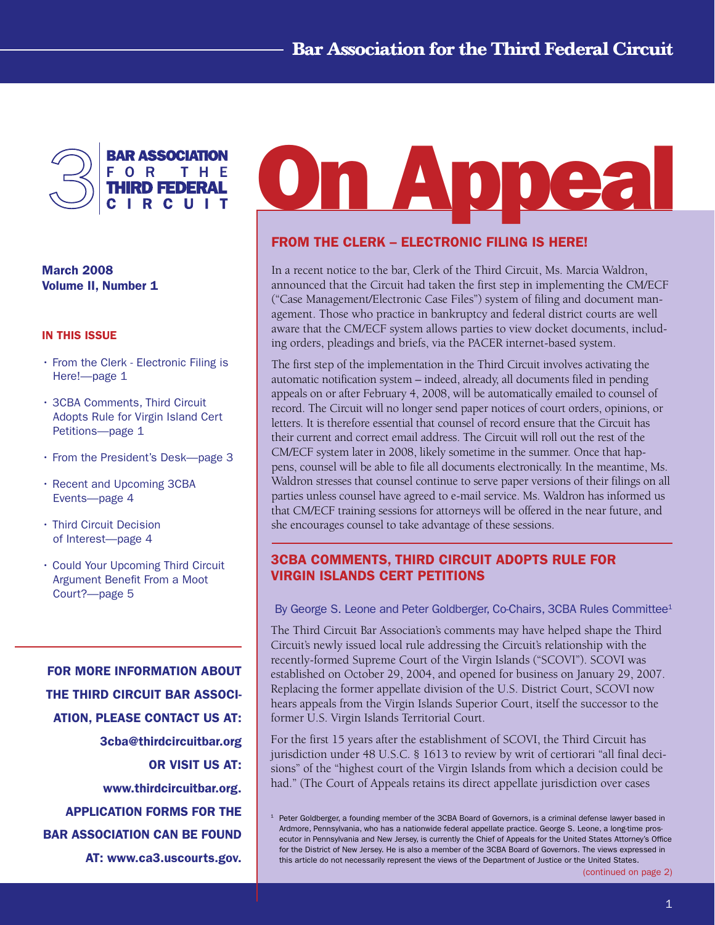

March 2008 Volume II, Number 1

#### In This Issue

- From the Clerk Electronic Filing is Here!—page 1
- 3CBA Comments, Third Circuit Adopts Rule for Virgin Island Cert Petitions—page 1
- From the President's Desk—page 3
- Recent and Upcoming 3CBA Events—page 4
- Third Circuit Decision of Interest—page 4
- Could Your Upcoming Third Circuit Argument Benefit From a Moot Court?—page 5

FOR MORE INFORMATION ABOUT THE THIRD CIRCUIT BAR ASSOCI-ATION, PLEASE CONTACT US AT: 3cba@thirdcircuitbar.org OR VISIT US AT: www.thirdcircuitbar.org. APPLICATION FORMS FOR THE BAR ASSOCIATION CAN BE FOUND AT: www.ca3.uscourts.gov.

# **On Appea**

# FROM THE CLERK – ELECTRONIC FILING IS HERE!

In a recent notice to the bar, Clerk of the Third Circuit, Ms. Marcia Waldron, announced that the Circuit had taken the first step in implementing the CM/ECF ("Case Management/Electronic Case Files") system of filing and document management. Those who practice in bankruptcy and federal district courts are well aware that the CM/ECF system allows parties to view docket documents, including orders, pleadings and briefs, via the PACER internet-based system.

The first step of the implementation in the Third Circuit involves activating the automatic notification system – indeed, already, all documents filed in pending appeals on or after February 4, 2008, will be automatically emailed to counsel of record. The Circuit will no longer send paper notices of court orders, opinions, or letters. It is therefore essential that counsel of record ensure that the Circuit has their current and correct email address. The Circuit will roll out the rest of the CM/ECF system later in 2008, likely sometime in the summer. Once that happens, counsel will be able to file all documents electronically. In the meantime, Ms. Waldron stresses that counsel continue to serve paper versions of their filings on all parties unless counsel have agreed to e-mail service. Ms. Waldron has informed us that CM/ECF training sessions for attorneys will be offered in the near future, and she encourages counsel to take advantage of these sessions.

# 3CBA Comments, Third Circuit adopts Rule For Virgin Islands Cert Petitions

By George S. Leone and Peter Goldberger, Co-Chairs, 3CBA Rules Committee<sup>1</sup>

The Third Circuit Bar Association's comments may have helped shape the Third Circuit's newly issued local rule addressing the Circuit's relationship with the recently-formed Supreme Court of the Virgin Islands ("SCOVI"). SCOVI was established on October 29, 2004, and opened for business on January 29, 2007. Replacing the former appellate division of the U.S. District Court, SCOVI now hears appeals from the Virgin Islands Superior Court, itself the successor to the former U.S. Virgin Islands Territorial Court.

For the first 15 years after the establishment of SCOVI, the Third Circuit has jurisdiction under 48 U.S.C. § 1613 to review by writ of certiorari "all final decisions" of the "highest court of the Virgin Islands from which a decision could be had." (The Court of Appeals retains its direct appellate jurisdiction over cases

<sup>&</sup>lt;sup>1</sup> Peter Goldberger, a founding member of the 3CBA Board of Governors, is a criminal defense lawyer based in Ardmore, Pennsylvania, who has a nationwide federal appellate practice. George S. Leone, a long-time prosecutor in Pennsylvania and New Jersey, is currently the Chief of Appeals for the United States Attorney's Office for the District of New Jersey. He is also a member of the 3CBA Board of Governors. The views expressed in this article do not necessarily represent the views of the Department of Justice or the United States.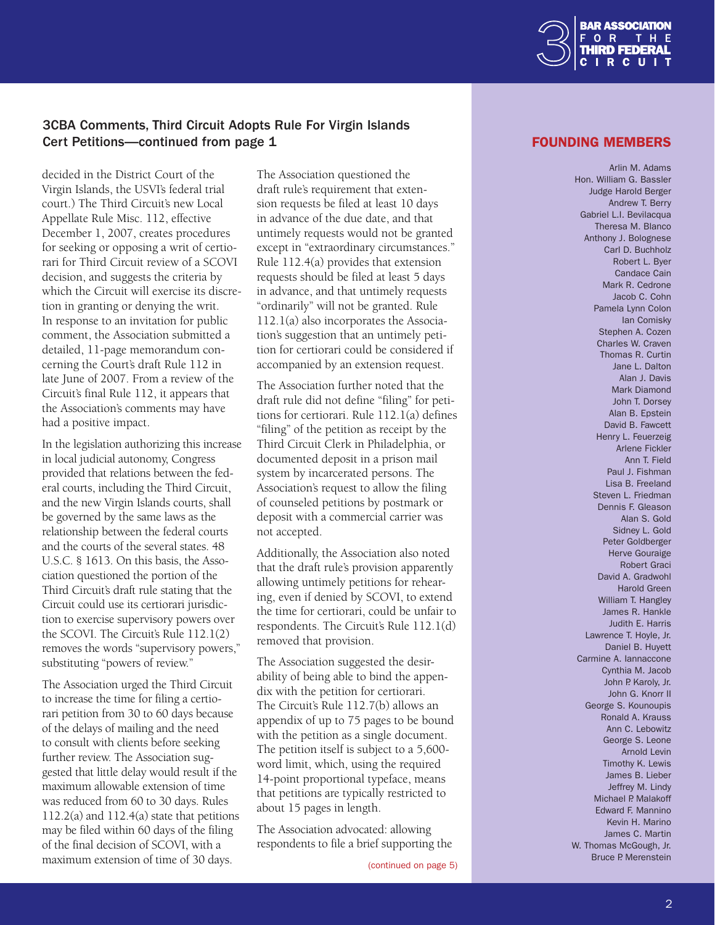

# <span id="page-1-0"></span>3CBA Comments, Third Circuit Adopts Rule For Virgin Islands Cert Petitions—continued from page 1 and the state of the state of the FOUNDING MEMBERS

decided in the District Court of the Virgin Islands, the USVI's federal trial court.) The Third Circuit's new Local Appellate Rule Misc. 112, effective December 1, 2007, creates procedures for seeking or opposing a writ of certiorari for Third Circuit review of a SCOVI decision, and suggests the criteria by which the Circuit will exercise its discretion in granting or denying the writ. In response to an invitation for public comment, the Association submitted a detailed, 11-page memorandum concerning the Court's draft Rule 112 in late June of 2007. From a review of the Circuit's final Rule 112, it appears that the Association's comments may have had a positive impact.

In the legislation authorizing this increase in local judicial autonomy, Congress provided that relations between the federal courts, including the Third Circuit, and the new Virgin Islands courts, shall be governed by the same laws as the relationship between the federal courts and the courts of the several states. 48 U.S.C. § 1613. On this basis, the Association questioned the portion of the Third Circuit's draft rule stating that the Circuit could use its certiorari jurisdiction to exercise supervisory powers over the SCOVI. The Circuit's Rule 112.1(2) removes the words "supervisory powers," substituting "powers of review."

The Association urged the Third Circuit to increase the time for filing a certiorari petition from 30 to 60 days because of the delays of mailing and the need to consult with clients before seeking further review. The Association suggested that little delay would result if the maximum allowable extension of time was reduced from 60 to 30 days. Rules 112.2(a) and 112.4(a) state that petitions may be filed within 60 days of the filing of the final decision of SCOVI, with a maximum extension of time of 30 days.

The Association questioned the draft rule's requirement that extension requests be filed at least 10 days in advance of the due date, and that untimely requests would not be granted except in "extraordinary circumstances." Rule 112.4(a) provides that extension requests should be filed at least 5 days in advance, and that untimely requests "ordinarily" will not be granted. Rule 112.1(a) also incorporates the Association's suggestion that an untimely petition for certiorari could be considered if accompanied by an extension request.

The Association further noted that the draft rule did not define "filing" for petitions for certiorari. Rule 112.1(a) defines "filing" of the petition as receipt by the Third Circuit Clerk in Philadelphia, or documented deposit in a prison mail system by incarcerated persons. The Association's request to allow the filing of counseled petitions by postmark or deposit with a commercial carrier was not accepted.

Additionally, the Association also noted that the draft rule's provision apparently allowing untimely petitions for rehearing, even if denied by SCOVI, to extend the time for certiorari, could be unfair to respondents. The Circuit's Rule 112.1(d) removed that provision.

The Association suggested the desirability of being able to bind the appendix with the petition for certiorari. The Circuit's Rule 112.7(b) allows an appendix of up to 75 pages to be bound with the petition as a single document. The petition itself is subject to a 5,600 word limit, which, using the required 14-point proportional typeface, means that petitions are typically restricted to about 15 pages in length.

The Association advocated: allowing respondents to file a brief supporting the

[\(continued on page 5](#page-4-0))

Arlin M. Adams Hon. William G. Bassler Judge Harold Berger Andrew T. Berry Gabriel L.I. Bevilacqua Theresa M. Blanco Anthony J. Bolognese Carl D. Buchholz Robert L. Byer Candace Cain Mark R. Cedrone Jacob C. Cohn Pamela Lynn Colon Ian Comisky Stephen A. Cozen Charles W. Craven Thomas R. Curtin Jane L. Dalton Alan J. Davis Mark Diamond John T. Dorsey Alan B. Epstein David B. Fawcett Henry L. Feuerzeig Arlene Fickler Ann T. Field Paul J. Fishman Lisa B. Freeland Steven L. Friedman Dennis F. Gleason Alan S. Gold Sidney L. Gold Peter Goldberger Herve Gouraige Robert Graci David A. Gradwohl Harold Green William T. Hangley James R. Hankle Judith E. Harris Lawrence T. Hoyle, Jr. Daniel B. Huyett Carmine A. Iannaccone Cynthia M. Jacob John P. Karoly, Jr. John G. Knorr II George S. Kounoupis Ronald A. Krauss Ann C. Lebowitz George S. Leone Arnold Levin Timothy K. Lewis James B. Lieber Jeffrey M. Lindy Michael P. Malakoff Edward F. Mannino Kevin H. Marino James C. Martin W. Thomas McGough, Jr. Bruce P. Merenstein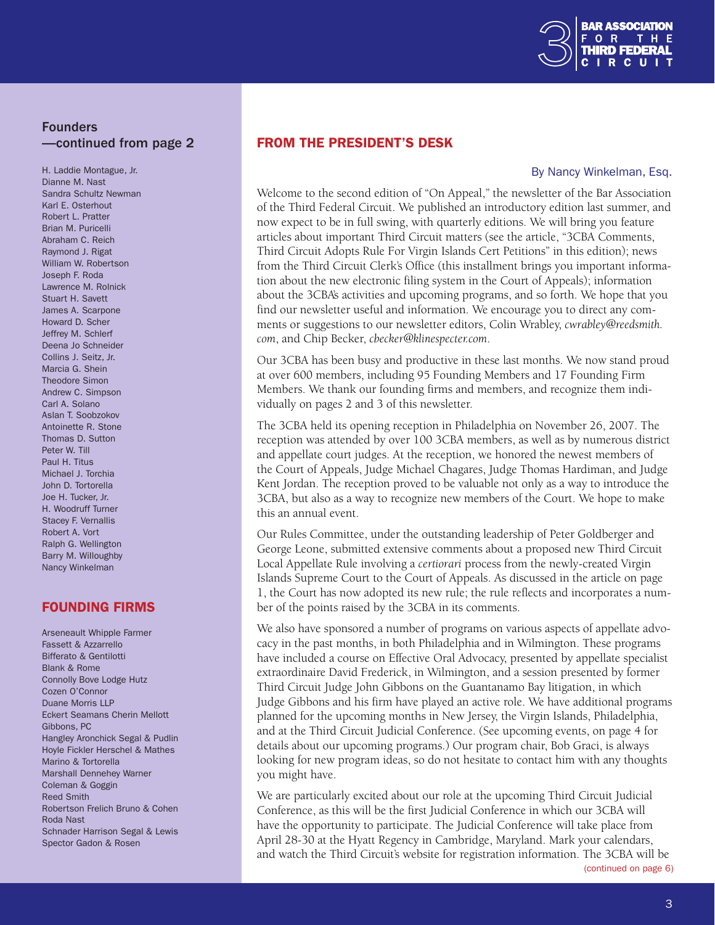

# Founders —continued from page 2

H. Laddie Montague, Jr. Dianne M. Nast Sandra Schultz Newman Karl E. Osterhout Robert L. Pratter Brian M. Puricelli Abraham C. Reich Raymond J. Rigat William W. Robertson Joseph F. Roda Lawrence M. Rolnick Stuart H. Savett James A. Scarpone Howard D. Scher Jeffrey M. Schlerf Deena Jo Schneider Collins J. Seitz, Jr. Marcia G. Shein Theodore Simon Andrew C. Simpson Carl A. Solano Aslan T. Soobzokov Antoinette R. Stone Thomas D. Sutton Peter W. Till Paul H. Titus Michael J. Torchia John D. Tortorella Joe H. Tucker, Jr. H. Woodruff Turner Stacey F. Vernallis Robert A. Vort Ralph G. Wellington Barry M. WiIloughby Nancy Winkelman

# FOUNDING FIRMS

Arseneault Whipple Farmer Fassett & Azzarrello Bifferato & Gentilotti Blank & Rome Connolly Bove Lodge Hutz Cozen O'Connor Duane Morris LLP Eckert Seamans Cherin Mellott Gibbons, PC Hangley Aronchick Segal & Pudlin Hoyle Fickler Herschel & Mathes Marino & Tortorella Marshall Dennehey Warner Coleman & Goggin Reed Smith Robertson Frelich Bruno & Cohen Roda Nast Schnader Harrison Segal & Lewis Spector Gadon & Rosen

## From The President's Desk

#### By Nancy Winkelman, Esq.

Welcome to the second edition of "On Appeal," the newsletter of the Bar Association of the Third Federal Circuit. We published an introductory edition last summer, and now expect to be in full swing, with quarterly editions. We will bring you feature articles about important Third Circuit matters (see the article, "3CBA Comments, Third Circuit Adopts Rule For Virgin Islands Cert Petitions" in this edition); news from the Third Circuit Clerk's Office (this installment brings you important information about the new electronic filing system in the Court of Appeals); information about the 3CBA's activities and upcoming programs, and so forth. We hope that you find our newsletter useful and information. We encourage you to direct any comments or suggestions to our newsletter editors, Colin Wrabley, *cwrabley@reedsmith. com*, and Chip Becker, *cbecker@klinespecter.com*.

Our 3CBA has been busy and productive in these last months. We now stand proud at over 600 members, including 95 Founding Members and 17 Founding Firm Members. We thank our founding firms and members, and recognize them individually on pages 2 and 3 of this newsletter.

The 3CBA held its opening reception in Philadelphia on November 26, 2007. The reception was attended by over 100 3CBA members, as well as by numerous district and appellate court judges. At the reception, we honored the newest members of the Court of Appeals, Judge Michael Chagares, Judge Thomas Hardiman, and Judge Kent Jordan. The reception proved to be valuable not only as a way to introduce the 3CBA, but also as a way to recognize new members of the Court. We hope to make this an annual event.

Our Rules Committee, under the outstanding leadership of Peter Goldberger and George Leone, submitted extensive comments about a proposed new Third Circuit Local Appellate Rule involving a *certiorari* process from the newly-created Virgin Islands Supreme Court to the Court of Appeals. As discussed in the article on page 1, the Court has now adopted its new rule; the rule reflects and incorporates a number of the points raised by the 3CBA in its comments.

We also have sponsored a number of programs on various aspects of appellate advocacy in the past months, in both Philadelphia and in Wilmington. These programs have included a course on Effective Oral Advocacy, presented by appellate specialist extraordinaire David Frederick, in Wilmington, and a session presented by former Third Circuit Judge John Gibbons on the Guantanamo Bay litigation, in which Judge Gibbons and his firm have played an active role. We have additional programs planned for the upcoming months in New Jersey, the Virgin Islands, Philadelphia, and at the Third Circuit Judicial Conference. (See upcoming events, on page 4 for details about our upcoming programs.) Our program chair, Bob Graci, is always looking for new program ideas, so do not hesitate to contact him with any thoughts you might have.

We are particularly excited about our role at the upcoming Third Circuit Judicial Conference, as this will be the first Judicial Conference in which our 3CBA will have the opportunity to participate. The Judicial Conference will take place from April 28-30 at the Hyatt Regency in Cambridge, Maryland. Mark your calendars, and watch the Third Circuit's website for registration information. The 3CBA will be [\(continued on page 6](#page-5-0))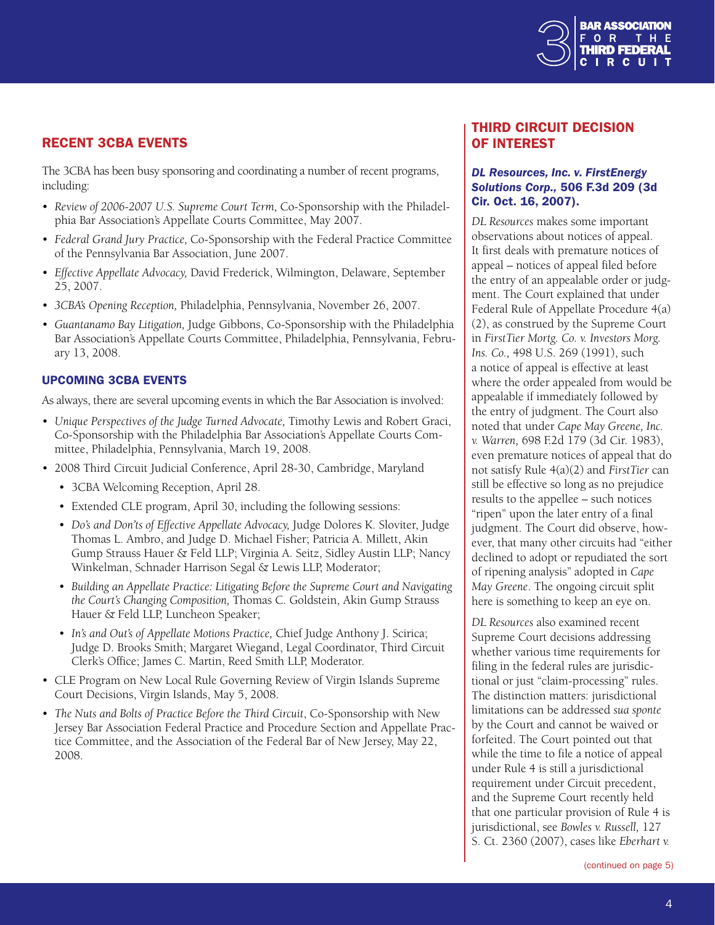

# Recent 3CBA Events

The 3CBA has been busy sponsoring and coordinating a number of recent programs, including:

- Review of 2006-2007 U.S. Supreme Court Term, Co-Sponsorship with the Philadelphia Bar Association's Appellate Courts Committee, May 2007.
- • *Federal Grand Jury Practice,* Co-Sponsorship with the Federal Practice Committee of the Pennsylvania Bar Association, June 2007.
- • *Effective Appellate Advocacy,* David Frederick, Wilmington, Delaware, September 25, 2007.
- • *3CBA's Opening Reception,* Philadelphia, Pennsylvania, November 26, 2007.
- *Guantanamo Bay Litigation,* Judge Gibbons, Co-Sponsorship with the Philadelphia Bar Association's Appellate Courts Committee, Philadelphia, Pennsylvania, February 13, 2008.

#### Upcoming 3CBA Events

As always, there are several upcoming events in which the Bar Association is involved:

- *Unique Perspectives of the Judge Turned Advocate,* Timothy Lewis and Robert Graci, Co-Sponsorship with the Philadelphia Bar Association's Appellate Courts Committee, Philadelphia, Pennsylvania, March 19, 2008.
- 2008 Third Circuit Judicial Conference, April 28-30, Cambridge, Maryland
	- • 3CBA Welcoming Reception, April 28.
	- Extended CLE program, April 30, including the following sessions:
	- *Do's and Don'ts of Effective Appellate Advocacy*, Judge Dolores K. Sloviter, Judge Thomas L. Ambro, and Judge D. Michael Fisher; Patricia A. Millett, Akin Gump Strauss Hauer & Feld LLP; Virginia A. Seitz, Sidley Austin LLP; Nancy Winkelman, Schnader Harrison Segal & Lewis LLP, Moderator;
	- • *Building an Appellate Practice: Litigating Before the Supreme Court and Navigating the Court's Changing Composition,* Thomas C. Goldstein, Akin Gump Strauss Hauer & Feld LLP, Luncheon Speaker;
	- In's and Out's of Appellate Motions Practice, Chief Judge Anthony J. Scirica; Judge D. Brooks Smith; Margaret Wiegand, Legal Coordinator, Third Circuit Clerk's Office; James C. Martin, Reed Smith LLP, Moderator.
- CLE Program on New Local Rule Governing Review of Virgin Islands Supreme Court Decisions, Virgin Islands, May 5, 2008.
- • *The Nuts and Bolts of Practice Before the Third Circuit*, Co-Sponsorship with New Jersey Bar Association Federal Practice and Procedure Section and Appellate Practice Committee, and the Association of the Federal Bar of New Jersey, May 22, 2008.

# Third Circuit Decision of Interest

#### *DL Resources, Inc. v. FirstEnergy Solutions Corp.,* 506 F.3d 209 (3d Cir. Oct. 16, 2007).

*DL Resources* makes some important observations about notices of appeal. It first deals with premature notices of appeal – notices of appeal filed before the entry of an appealable order or judgment. The Court explained that under Federal Rule of Appellate Procedure 4(a) (2), as construed by the Supreme Court in *FirstTier Mortg. Co. v. Investors Morg. Ins. Co.,* 498 U.S. 269 (1991), such a notice of appeal is effective at least where the order appealed from would be appealable if immediately followed by the entry of judgment. The Court also noted that under *Cape May Greene, Inc. v. Warren,* 698 F.2d 179 (3d Cir. 1983), even premature notices of appeal that do not satisfy Rule 4(a)(2) and *FirstTier* can still be effective so long as no prejudice results to the appellee – such notices "ripen" upon the later entry of a final judgment. The Court did observe, however, that many other circuits had "either declined to adopt or repudiated the sort of ripening analysis" adopted in *Cape May Greene*. The ongoing circuit split here is something to keep an eye on.

*DL Resources* also examined recent Supreme Court decisions addressing whether various time requirements for filing in the federal rules are jurisdictional or just "claim-processing" rules. The distinction matters: jurisdictional limitations can be addressed *sua sponte* by the Court and cannot be waived or forfeited. The Court pointed out that while the time to file a notice of appeal under Rule 4 is still a jurisdictional requirement under Circuit precedent, and the Supreme Court recently held that one particular provision of Rule 4 is jurisdictional, see *Bowles v. Russell,* 127 S. Ct. 2360 (2007), cases like *Eberhart v.*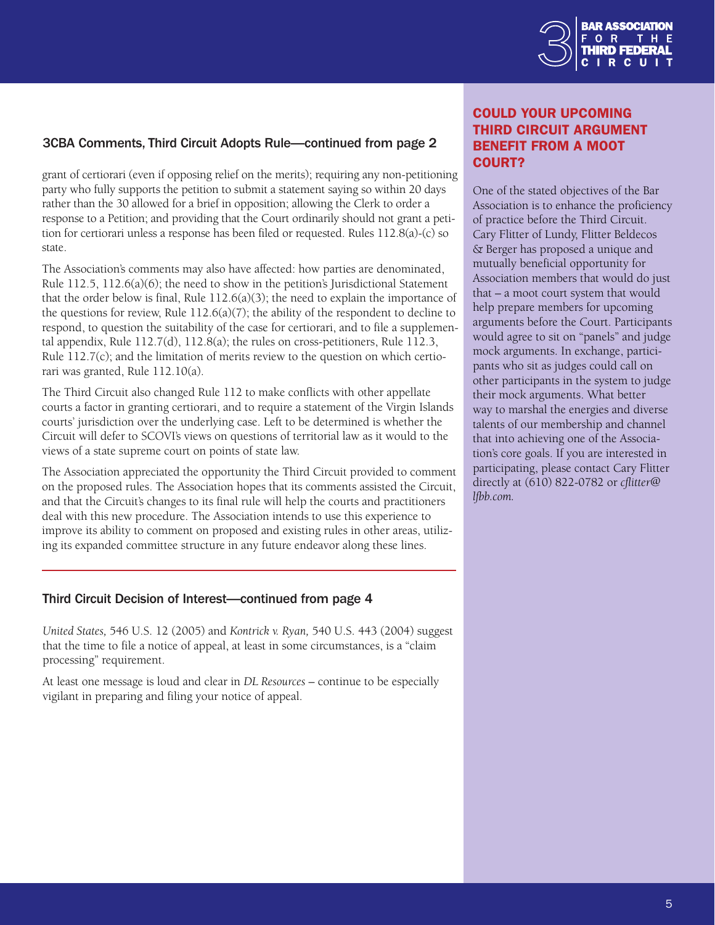

# <span id="page-4-0"></span>3CBA Comments, Third Circuit Adopts Rule—continued from page 2

grant of certiorari (even if opposing relief on the merits); requiring any non-petitioning party who fully supports the petition to submit a statement saying so within 20 days rather than the 30 allowed for a brief in opposition; allowing the Clerk to order a response to a Petition; and providing that the Court ordinarily should not grant a petition for certiorari unless a response has been filed or requested. Rules 112.8(a)-(c) so state.

The Association's comments may also have affected: how parties are denominated, Rule 112.5, 112.6(a)(6); the need to show in the petition's Jurisdictional Statement that the order below is final, Rule  $112.6(a)(3)$ ; the need to explain the importance of the questions for review, Rule  $112.6(a)(7)$ ; the ability of the respondent to decline to respond, to question the suitability of the case for certiorari, and to file a supplemental appendix, Rule 112.7(d), 112.8(a); the rules on cross-petitioners, Rule 112.3, Rule 112.7(c); and the limitation of merits review to the question on which certiorari was granted, Rule 112.10(a).

The Third Circuit also changed Rule 112 to make conflicts with other appellate courts a factor in granting certiorari, and to require a statement of the Virgin Islands courts' jurisdiction over the underlying case. Left to be determined is whether the Circuit will defer to SCOVI's views on questions of territorial law as it would to the views of a state supreme court on points of state law.

The Association appreciated the opportunity the Third Circuit provided to comment on the proposed rules. The Association hopes that its comments assisted the Circuit, and that the Circuit's changes to its final rule will help the courts and practitioners deal with this new procedure. The Association intends to use this experience to improve its ability to comment on proposed and existing rules in other areas, utilizing its expanded committee structure in any future endeavor along these lines.

#### Third Circuit Decision of Interest—continued from page 4

*United States,* 546 U.S. 12 (2005) and *Kontrick v. Ryan,* 540 U.S. 443 (2004) suggest that the time to file a notice of appeal, at least in some circumstances, is a "claim processing" requirement.

At least one message is loud and clear in *DL Resources* – continue to be especially vigilant in preparing and filing your notice of appeal.

# Could Your Upcoming Third Circuit Argument Benefit From A Moot COURT?

One of the stated objectives of the Bar Association is to enhance the proficiency of practice before the Third Circuit. Cary Flitter of Lundy, Flitter Beldecos & Berger has proposed a unique and mutually beneficial opportunity for Association members that would do just that – a moot court system that would help prepare members for upcoming arguments before the Court. Participants would agree to sit on "panels" and judge mock arguments. In exchange, participants who sit as judges could call on other participants in the system to judge their mock arguments. What better way to marshal the energies and diverse talents of our membership and channel that into achieving one of the Association's core goals. If you are interested in participating, please contact Cary Flitter directly at (610) 822-0782 or *cflitter@ lfbb.com.*